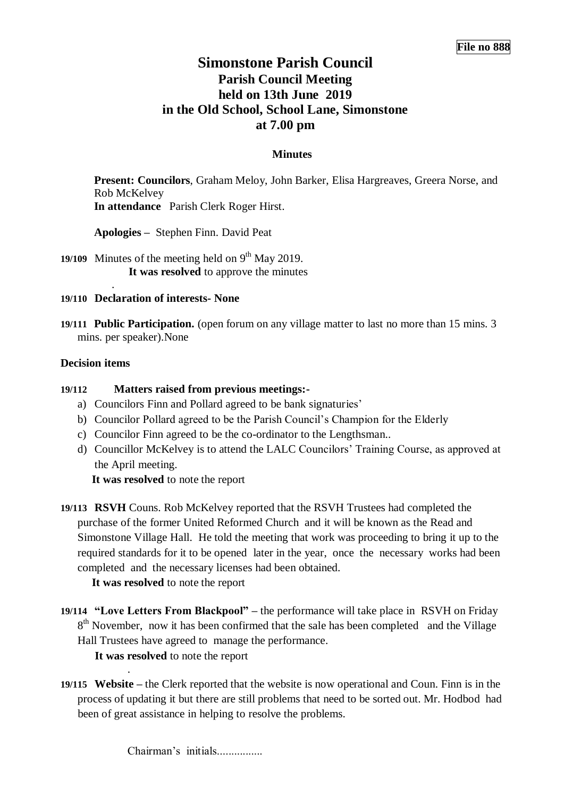# **Simonstone Parish Council Parish Council Meeting held on 13th June 2019 in the Old School, School Lane, Simonstone at 7.00 pm**

## **Minutes**

**Present: Councilors**, Graham Meloy, John Barker, Elisa Hargreaves, Greera Norse, and Rob McKelvey **In attendance** Parish Clerk Roger Hirst.

**Apologies –** Stephen Finn. David Peat

19/109 Minutes of the meeting held on  $9<sup>th</sup>$  May 2019. **It was resolved** to approve the minutes

#### **19/110 Declaration of interests- None**

**19/111 Public Participation.** (open forum on any village matter to last no more than 15 mins. 3 mins. per speaker).None

#### **Decision items**

.

## **19/112 Matters raised from previous meetings:-**

- a) Councilors Finn and Pollard agreed to be bank signaturies'
- b) Councilor Pollard agreed to be the Parish Council's Champion for the Elderly
- c) Councilor Finn agreed to be the co-ordinator to the Lengthsman..
- d) Councillor McKelvey is to attend the LALC Councilors' Training Course, as approved at the April meeting.

 **It was resolved** to note the report

**19/113 RSVH** Couns. Rob McKelvey reported that the RSVH Trustees had completed the purchase of the former United Reformed Church and it will be known as the Read and Simonstone Village Hall. He told the meeting that work was proceeding to bring it up to the required standards for it to be opened later in the year, once the necessary works had been completed and the necessary licenses had been obtained.

 **It was resolved** to note the report

**19/114 "Love Letters From Blackpool" –** the performance will take place in RSVH on Friday 8<sup>th</sup> November, now it has been confirmed that the sale has been completed and the Village Hall Trustees have agreed to manage the performance.

 **It was resolved** to note the report

.

**19/115 Website –** the Clerk reported that the website is now operational and Coun. Finn is in the process of updating it but there are still problems that need to be sorted out. Mr. Hodbod had been of great assistance in helping to resolve the problems.

Chairman's initials.................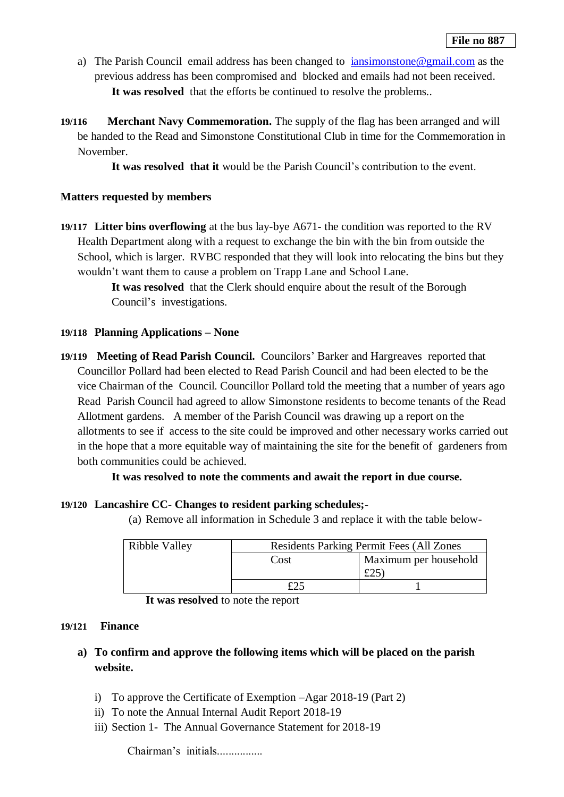- a) The Parish Councilemail address has been changed to [iansimonstone@gmail.com](mailto:iansimonstone@gmail.com) as the previous address has been compromised and blocked and emails had not been received. **It was resolved** that the efforts be continued to resolve the problems..
- **19/116 Merchant Navy Commemoration.** The supply of the flag has been arranged and will be handed to the Read and Simonstone Constitutional Club in time for the Commemoration in November.

**It was resolved that it** would be the Parish Council's contribution to the event.

## **Matters requested by members**

**19/117 Litter bins overflowing** at the bus lay-bye A671**-** the condition was reported to the RV Health Department along with a request to exchange the bin with the bin from outside the School, which is larger. RVBC responded that they will look into relocating the bins but they wouldn't want them to cause a problem on Trapp Lane and School Lane.

> **It was resolved** that the Clerk should enquire about the result of the Borough Council's investigations.

## **19/118 Planning Applications – None**

**19/119 Meeting of Read Parish Council.** Councilors' Barker and Hargreaves reported that Councillor Pollard had been elected to Read Parish Council and had been elected to be the vice Chairman of the Council. Councillor Pollard told the meeting that a number of years ago Read Parish Council had agreed to allow Simonstone residents to become tenants of the Read Allotment gardens. A member of the Parish Council was drawing up a report on the allotments to see if access to the site could be improved and other necessary works carried out in the hope that a more equitable way of maintaining the site for the benefit of gardeners from both communities could be achieved.

# **It was resolved to note the comments and await the report in due course.**

# **19/120 Lancashire CC- Changes to resident parking schedules;-**

(a) Remove all information in Schedule 3 and replace it with the table below-

| Ribble Valley |      | <b>Residents Parking Permit Fees (All Zones)</b> |  |
|---------------|------|--------------------------------------------------|--|
|               | Cost | Maximum per household                            |  |
|               |      | LZJ                                              |  |
|               |      |                                                  |  |

**It was resolved** to note the report

#### **19/121 Finance**

- **a) To confirm and approve the following items which will be placed on the parish website.**
	- i) To approve the Certificate of Exemption –Agar 2018-19 (Part 2)
	- ii) To note the Annual Internal Audit Report 2018-19
	- iii) Section 1- The Annual Governance Statement for 2018-19

Chairman's initials................